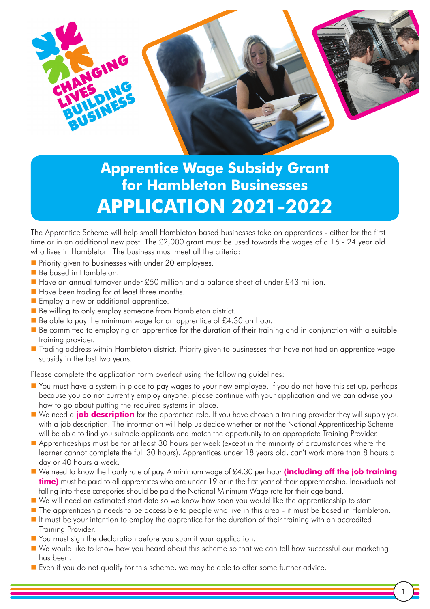

# **Apprentice Wage Subsidy Grant for Hambleton Businesses APPLICATION 2021-2022**

The Apprentice Scheme will help small Hambleton based businesses take on apprentices - either for the first time or in an additional new post. The £2,000 grant must be used towards the wages of a 16 - 24 year old who lives in Hambleton. The business must meet all the criteria:

- **Priority given to businesses with under 20 employees.**
- Be based in Hambleton.
- Have an annual turnover under £50 million and a balance sheet of under £43 million.
- Have been trading for at least three months.
- **Examploy a new or additional apprentice.**
- Be willing to only employ someone from Hambleton district.
- Be able to pay the minimum wage for an apprentice of £4.30 an hour.
- Be committed to employing an apprentice for the duration of their training and in conjunction with a suitable training provider.
- Trading address within Hambleton district. Priority given to businesses that have not had an apprentice wage subsidy in the last two years.

Please complete the application form overleaf using the following guidelines:

- You must have a system in place to pay wages to your new employee. If you do not have this set up, perhaps because you do not currently employ anyone, please continue with your application and we can advise you how to go about putting the required systems in place.
- We need a **job description** for the apprentice role. If you have chosen a training provider they will supply you with a job description. The information will help us decide whether or not the National Apprenticeship Scheme will be able to find you suitable applicants and match the opportunity to an appropriate Training Provider.
- Apprenticeships must be for at least 30 hours per week (except in the minority of circumstances where the learner cannot complete the full 30 hours). Apprentices under 18 years old, can't work more than 8 hours a day or 40 hours a week.
- We need to know the hourly rate of pay. A minimum wage of £4.30 per hour **(including off the job training time)** must be paid to all apprentices who are under 19 or in the first year of their apprenticeship. Individuals not falling into these categories should be paid the National Minimum Wage rate for their age band.
- We will need an estimated start date so we know how soon you would like the apprenticeship to start.
- The apprenticeship needs to be accessible to people who live in this area it must be based in Hambleton.
- It must be your intention to employ the apprentice for the duration of their training with an accredited Training Provider.
- You must sign the declaration before you submit your application.
- We would like to know how you heard about this scheme so that we can tell how successful our marketing has been.
- Even if you do not qualify for this scheme, we may be able to offer some further advice.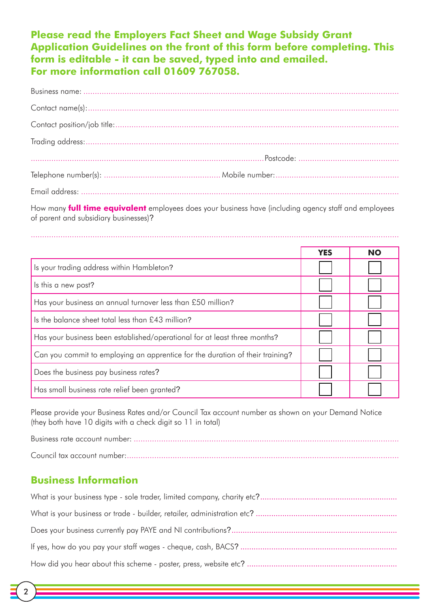# **Please read the Employers Fact Sheet and Wage Subsidy Grant Application Guidelines on the front of this form before completing. This form is editable - it can be saved, typed into and emailed. For more information call 01609 767058.**

How many **full time equivalent** employees does your business have (including agency staff and employees of parent and subsidiary businesses)?

.................................................................................................................................................................

|                                                                               | <b>YES</b> | <b>NO</b> |
|-------------------------------------------------------------------------------|------------|-----------|
| Is your trading address within Hambleton?                                     |            |           |
| Is this a new post?                                                           |            |           |
| Has your business an annual turnover less than £50 million?                   |            |           |
| Is the balance sheet total less than £43 million?                             |            |           |
| Has your business been established/operational for at least three months?     |            |           |
| Can you commit to employing an apprentice for the duration of their training? |            |           |
| Does the business pay business rates?                                         |            |           |
| Has small business rate relief been granted?                                  |            |           |

Please provide your Business Rates and/or Council Tax account number as shown on your Demand Notice (they both have 10 digits with a check digit so 11 in total)

Business rate account number: .................................................................................................................... Council tax account number:.......................................................................................................................

## **Business Information**

2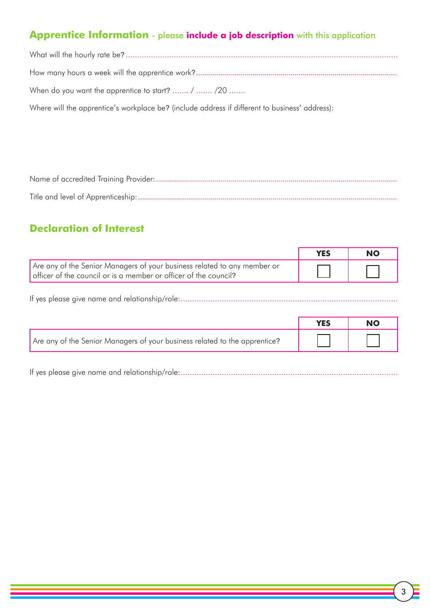# **Apprentice Information** - please **include a job description** with this application

| When do you want the apprentice to start? $/$ $/20$                                            |
|------------------------------------------------------------------------------------------------|
| Where will the apprentice's workplace be? (include address if different to business' address): |

Name of accredited Training Provider:........................................................................................................................ Title and level of Apprenticeship:.................................................................................................................................

# **Declaration of Interest**

|                                                                                                                                              | NO |
|----------------------------------------------------------------------------------------------------------------------------------------------|----|
| Are any of the Senior Managers of your business related to any member or<br>officer of the council or is a member or officer of the council? |    |

If yes please give name and relationship/role:...............................................................................................

|                                                                            | <b>YES</b> | NO |
|----------------------------------------------------------------------------|------------|----|
| Are any of the Senior Managers of your business related to the apprentice? |            |    |

If yes please give name and relationship/role:...............................................................................................